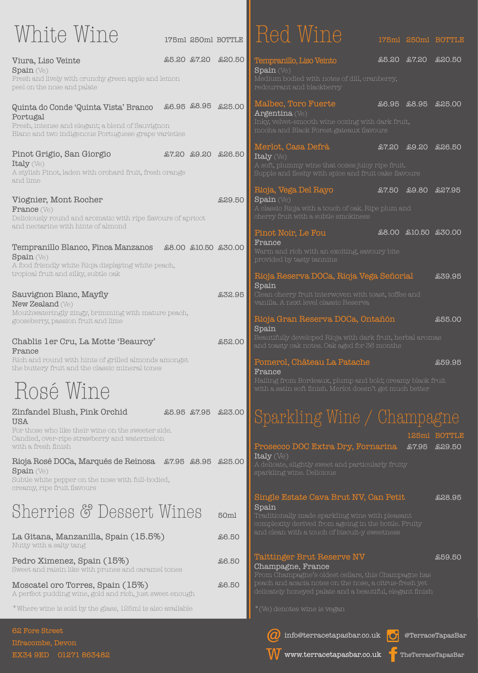Subtle white pepper on the nose with full-bodied, creamy, ripe fruit flavours

# Sherries & Dessert Wines 50ml

La Gitana, Manzanilla, Spain (15.5%) Nutty with a salty tang

£6.50

Moscatel oro Torres, Spain (15%) A perfect pudding wine, gold and rich, just sweet enough £6.50

Pedro Ximenez, Spain (15%) Sweet and raisin like with prunes and caramel tones

#### £6.50 Taittinger Brut Reserve NV Champagne, France

| White Wine                                                                                                                                                   | 175ml 250ml BOTTLE  |         | <b>I</b> Red Wine                                                                                                                                              | 175ml 250ml BOTTLE  |               |
|--------------------------------------------------------------------------------------------------------------------------------------------------------------|---------------------|---------|----------------------------------------------------------------------------------------------------------------------------------------------------------------|---------------------|---------------|
| Viura, Liso Veinte<br>$\sigma$ Spain (Ve)<br>Fresh and lively with crunchy green apple and lemon<br>peel on the nose and palate                              | £5.20 £7.20         | £20.50  | Tempranillo, Liso Veinto<br>$\sigma$ Spain (Ve)<br>Medium bodied with notes of dill, cranberry,<br>redcurrant and blackberry                                   | £7.20<br>£5.20      | £20.50        |
| Quinta do Conde 'Quinta Vista' Branco<br>Portugal<br>Fresh, intense and elegant; a blend of Sauvignon<br>Blanc and two indigenous Portuguese grape varieties | £6.95 £8.95 £25.00  |         | Malbec, Toro Fuerte<br>Argentina $(Ve)$<br>Inky, velvet-smooth wine oozing with dark fruit,<br>mocha and Black Forest gateaux flavours                         | £6.95 £8.95         | <b>£25.00</b> |
| Pinot Grigio, San Giorgio<br>Italy $(Ve)$<br>A stylish Pinot, laden with orchard fruit, fresh orange<br>and lime                                             | £7.20 £9.20 £26.50  |         | Merlot, Casa Defrà<br>Italy (Ve)<br>A soft, plummy wine that oozes juicy ripe fruit.<br>Supple and fleshy with spice and fruit cake flavours                   | £7.20<br>£9.20      | ියිරි.50      |
| Viognier, Mont Rocher<br>France (Ve)<br>Deliciously round and aromatic with ripe flavours of apricot<br>and nectarine with hints of almond                   |                     | £29.50  | Rioja, Vega Del Rayo<br><b>Spain</b> (Ve)<br>A classic Rioja with a touch of oak. Ripe plum and<br>cherry fruit with a subtle smokiness                        | £7.50<br>£9.80      | £27.95        |
| Tempranillo Blanco, Finca Manzanos<br>$\sigma$ Spain (Ve)<br>A food friendly white Rioja displaying white peach,                                             | £8.00 £10.50 £30.00 |         | Pinot Noir, Le Fou<br>France<br>Warm and rich with an exciting, savoury bite<br>provided by tasty tannins                                                      | £8.00 £10.50 £30.00 |               |
| tropical fruit and silky, subtle oak<br>Sauvignon Blanc, Mayfly<br><b>New Zealand</b> (Ve)<br>Mouthwateringly zingy, brimming with mature peach,             |                     | £32.95  | Rioja Reserva DOCa, Rioja Vega Señorial<br>Spain<br>Clean cherry fruit interwoven with toast, toffee and<br>vanilla. A next level classic Reserva              |                     | £39.95        |
| gooseberry, passion fruit and lime<br>Chablis 1er Cru, La Motte 'Beauroy'                                                                                    |                     | \$52.00 | Rioja Gran Reserva DOCa, Ontañón<br>Spain<br>Beautifully developed Rioja with dark fruit, herbal aromas<br>and toasty oak notes. Oak aged for 36 months        |                     | £55.00        |
| France<br>Rich and round with hints of grilled almonds amongst<br>the buttery fruit and the classic mineral tones<br>Rosé Wine                               |                     |         | Pomerol, Château La Patache<br>France<br>Hailing from Bordeaux, plump and bold; creamy black fruit<br>with a satin soft finish. Merlot doesn't get much better |                     | £59.95        |
| Zinfandel Blush, Pink Orchid<br><b>USA</b><br>For those who like their wine on the sweeter side.                                                             | £5.95 £7.95         | £23.00  | Sparkling Wine / Champagne                                                                                                                                     |                     | 125ml BOTTLE  |
| Candied, over-ripe strawberry and watermelon<br>with a fresh finish<br>Rioja Rosé DOCa, Marqués de Reinosa £7.95 £8.95<br>$\sigma$ Spain (Ve)                |                     | £25.00  | Prosecco DOC Extra Dry, Fornarina<br>Italy (Ve)<br>A delicate, slightly sweet and particularly fruity<br>sparkling wine. Delicious                             | £7.95               | £29.50        |

From Champagne's oldest cellars, this Champagne has delicately honeyed palate and a beautiful, elegant finish

#### £59.50

#### Single Estate Cava Brut NV, Can Petit Spain

complexity derived from ageing in the bottle. Fruity



\*Where wine is sold by the glass, 125ml is also available

@TerraceTapasBar

TheTerraceTapasBar









62 Fore Street Ilfracombe, Devon EX34 9ED 01271 863482

\*(Ve) denotes wine is vegan